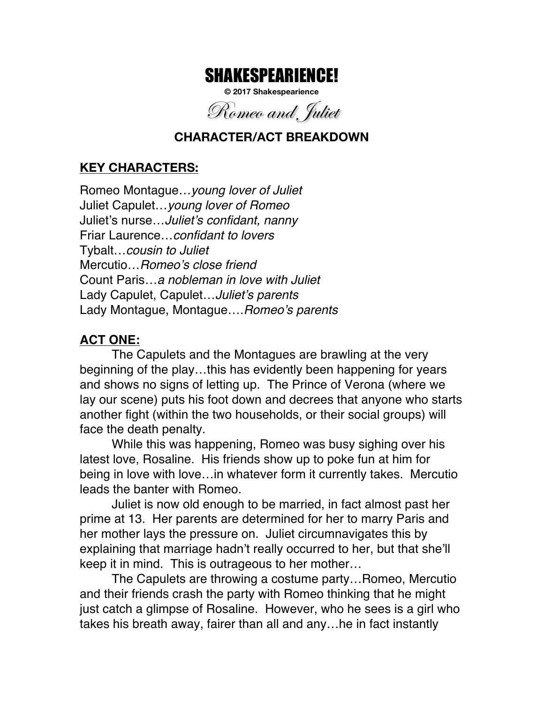# SHAKESPEARIENCE!

**© 2017 Shakespearience**

Romeo and Juliet

#### **CHARACTER/ACT BREAKDOWN**

### **KEY CHARACTERS:**

Romeo Montague…*young lover of Juliet* Juliet Capulet…*young lover of Romeo* Juliet's nurse…*Juliet's confidant, nanny* Friar Laurence…*confidant to lovers* Tybalt…*cousin to Juliet* Mercutio…*Romeo's close friend* Count Paris*…a nobleman in love with Juliet* Lady Capulet, Capulet…*Juliet's parents* Lady Montague, Montague….*Romeo's parents*

#### **ACT ONE:**

The Capulets and the Montagues are brawling at the very beginning of the play…this has evidently been happening for years and shows no signs of letting up. The Prince of Verona (where we lay our scene) puts his foot down and decrees that anyone who starts another fight (within the two households, or their social groups) will face the death penalty.

While this was happening, Romeo was busy sighing over his latest love, Rosaline. His friends show up to poke fun at him for being in love with love…in whatever form it currently takes. Mercutio leads the banter with Romeo.

Juliet is now old enough to be married, in fact almost past her prime at 13. Her parents are determined for her to marry Paris and her mother lays the pressure on. Juliet circumnavigates this by explaining that marriage hadn't really occurred to her, but that she'll keep it in mind. This is outrageous to her mother…

The Capulets are throwing a costume party…Romeo, Mercutio and their friends crash the party with Romeo thinking that he might just catch a glimpse of Rosaline. However, who he sees is a girl who takes his breath away, fairer than all and any…he in fact instantly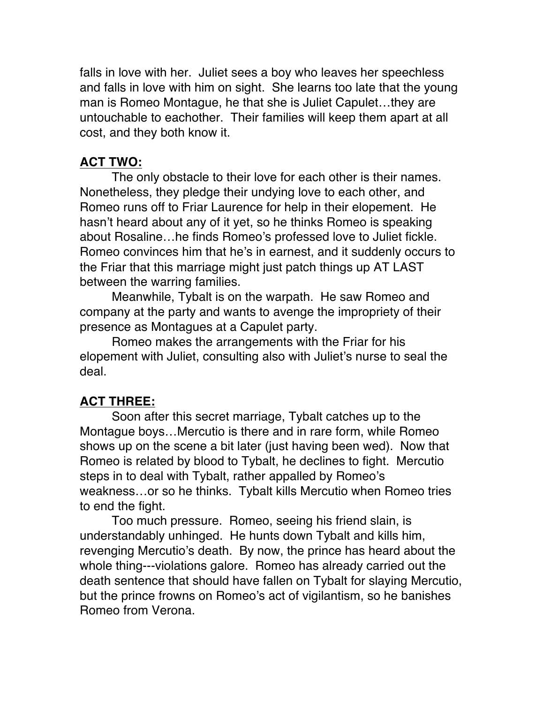falls in love with her. Juliet sees a boy who leaves her speechless and falls in love with him on sight. She learns too late that the young man is Romeo Montague, he that she is Juliet Capulet…they are untouchable to eachother. Their families will keep them apart at all cost, and they both know it.

## **ACT TWO:**

The only obstacle to their love for each other is their names. Nonetheless, they pledge their undying love to each other, and Romeo runs off to Friar Laurence for help in their elopement. He hasn't heard about any of it yet, so he thinks Romeo is speaking about Rosaline…he finds Romeo's professed love to Juliet fickle. Romeo convinces him that he's in earnest, and it suddenly occurs to the Friar that this marriage might just patch things up AT LAST between the warring families.

Meanwhile, Tybalt is on the warpath. He saw Romeo and company at the party and wants to avenge the impropriety of their presence as Montagues at a Capulet party.

Romeo makes the arrangements with the Friar for his elopement with Juliet, consulting also with Juliet's nurse to seal the deal.

# **ACT THREE:**

Soon after this secret marriage, Tybalt catches up to the Montague boys…Mercutio is there and in rare form, while Romeo shows up on the scene a bit later (just having been wed). Now that Romeo is related by blood to Tybalt, he declines to fight. Mercutio steps in to deal with Tybalt, rather appalled by Romeo's weakness…or so he thinks. Tybalt kills Mercutio when Romeo tries to end the fight.

Too much pressure. Romeo, seeing his friend slain, is understandably unhinged. He hunts down Tybalt and kills him, revenging Mercutio's death. By now, the prince has heard about the whole thing---violations galore. Romeo has already carried out the death sentence that should have fallen on Tybalt for slaying Mercutio, but the prince frowns on Romeo's act of vigilantism, so he banishes Romeo from Verona.